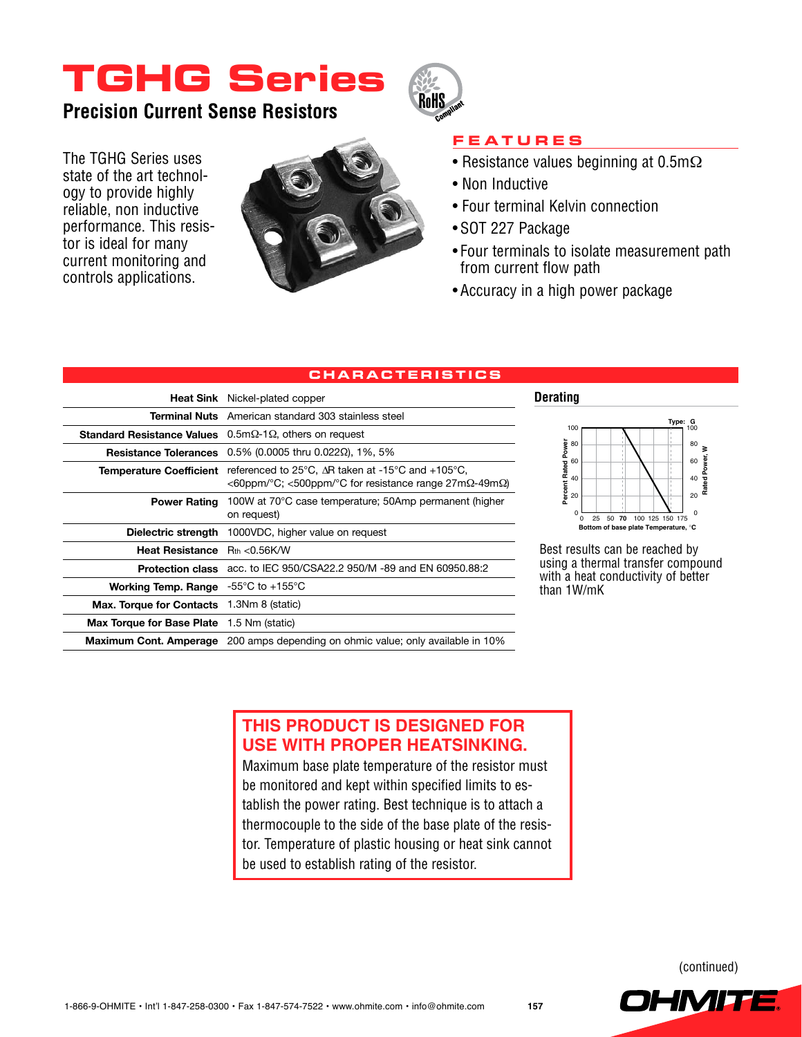# **TGHG Series**

**Precision Current Sense Resistors**

The TGHG Series uses state of the art technology to provide highly reliable, non inductive performance. This resistor is ideal for many current monitoring and controls applications.





### **Fea t ure s**

- Resistance values beginning at 0.5mΩ
- Non Inductive
- Four terminal Kelvin connection
- SOT 227 Package
- Four terminals to isolate measurement path from current flow path
- Accuracy in a high power package

**Derating**

### **c h arac t eri st i c s**

|                                                                | <b>Heat Sink</b> Nickel-plated copper                                                                                                                                                                         |
|----------------------------------------------------------------|---------------------------------------------------------------------------------------------------------------------------------------------------------------------------------------------------------------|
|                                                                | <b>Terminal Nuts</b> American standard 303 stainless steel                                                                                                                                                    |
|                                                                | <b>Standard Resistance Values</b> $0.5 \text{m}\Omega$ -1 $\Omega$ , others on request                                                                                                                        |
|                                                                | <b>Resistance Tolerances</b> $0.5\%$ (0.0005 thru 0.022 $\Omega$ ), 1%, 5%                                                                                                                                    |
|                                                                | <b>Temperature Coefficient</b> referenced to $25^{\circ}$ C, $\Delta$ R taken at -15 <sup>o</sup> C and +105 <sup>o</sup> C,<br>$<$ 60ppm/°C; $<$ 500ppm/°C for resistance range 27m $\Omega$ -49m $\Omega$ ) |
| <b>Power Rating</b>                                            | 100W at 70°C case temperature; 50Amp permanent (higher<br>on request)                                                                                                                                         |
|                                                                | Dielectric strength 1000VDC, higher value on request                                                                                                                                                          |
| <b>Heat Resistance</b> $R_{th} < 0.56K/W$                      |                                                                                                                                                                                                               |
|                                                                | <b>Protection class</b> acc. to IEC 950/CSA22.2 950/M -89 and EN 60950.88:2                                                                                                                                   |
| <b>Working Temp. Range</b> $-55^{\circ}$ C to $+155^{\circ}$ C |                                                                                                                                                                                                               |
| <b>Max. Torque for Contacts</b> 1.3Nm 8 (static)               |                                                                                                                                                                                                               |
| <b>Max Torque for Base Plate</b> 1.5 Nm (static)               |                                                                                                                                                                                                               |
|                                                                | <b>Maximum Cont. Amperage</b> 200 amps depending on ohmic value; only available in 10%                                                                                                                        |



Best results can be reached by using a thermal transfer compound with a heat conductivity of better than 1W/mK

### **THIS PRODUCT IS DESIGNED FOR USE WITH PROPER HEATSINKING.**

Maximum base plate temperature of the resistor must be monitored and kept within specified limits to establish the power rating. Best technique is to attach a thermocouple to the side of the base plate of the resistor. Temperature of plastic housing or heat sink cannot be used to establish rating of the resistor.

(continued)